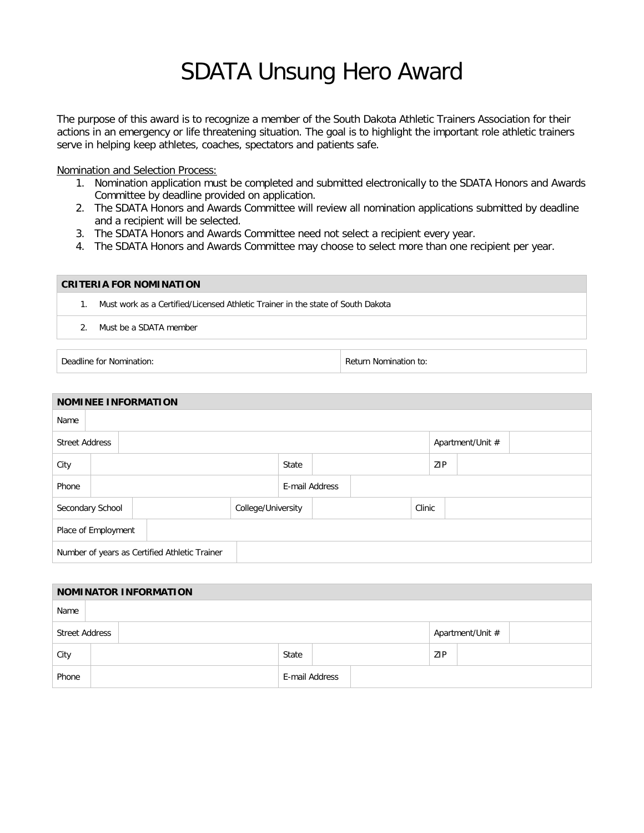## SDATA Unsung Hero Award

The purpose of this award is to recognize a member of the South Dakota Athletic Trainers Association for their actions in an emergency or life threatening situation. The goal is to highlight the important role athletic trainers serve in helping keep athletes, coaches, spectators and patients safe.

Nomination and Selection Process:

- 1. Nomination application must be completed and submitted electronically to the SDATA Honors and Awards Committee by deadline provided on application.
- 2. The SDATA Honors and Awards Committee will review all nomination applications submitted by deadline and a recipient will be selected.
- 3. The SDATA Honors and Awards Committee need not select a recipient every year.
- 4. The SDATA Honors and Awards Committee may choose to select more than one recipient per year.

| <b>CRITERIA FOR NOMINATION</b> |                                                                                 |  |  |  |  |  |  |
|--------------------------------|---------------------------------------------------------------------------------|--|--|--|--|--|--|
| $1_{-}$                        | Must work as a Certified/Licensed Athletic Trainer in the state of South Dakota |  |  |  |  |  |  |
|                                | 2. Must be a SDATA member                                                       |  |  |  |  |  |  |
| Deadline for Nomination:       | Return Nomination to:                                                           |  |  |  |  |  |  |

| <b>NOMINEE INFORMATION</b>                    |  |  |  |                    |                |  |  |                  |  |  |
|-----------------------------------------------|--|--|--|--------------------|----------------|--|--|------------------|--|--|
| Name                                          |  |  |  |                    |                |  |  |                  |  |  |
| <b>Street Address</b>                         |  |  |  |                    |                |  |  | Apartment/Unit # |  |  |
| City                                          |  |  |  |                    | State          |  |  |                  |  |  |
| Phone                                         |  |  |  |                    | E-mail Address |  |  |                  |  |  |
| Secondary School                              |  |  |  | College/University |                |  |  | Clinic           |  |  |
| Place of Employment                           |  |  |  |                    |                |  |  |                  |  |  |
| Number of years as Certified Athletic Trainer |  |  |  |                    |                |  |  |                  |  |  |

| <b>NOMINATOR INFORMATION</b> |  |                |       |  |  |                  |  |  |  |
|------------------------------|--|----------------|-------|--|--|------------------|--|--|--|
| Name                         |  |                |       |  |  |                  |  |  |  |
| <b>Street Address</b>        |  |                |       |  |  | Apartment/Unit # |  |  |  |
| City                         |  |                | State |  |  | ZIP              |  |  |  |
| Phone                        |  | E-mail Address |       |  |  |                  |  |  |  |